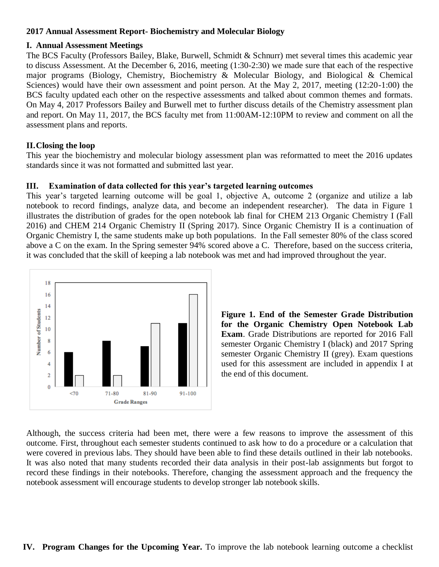## **2017 Annual Assessment Report- Biochemistry and Molecular Biology**

## **I. Annual Assessment Meetings**

The BCS Faculty (Professors Bailey, Blake, Burwell, Schmidt & Schnurr) met several times this academic year to discuss Assessment. At the December 6, 2016, meeting (1:30-2:30) we made sure that each of the respective major programs (Biology, Chemistry, Biochemistry & Molecular Biology, and Biological & Chemical Sciences) would have their own assessment and point person. At the May 2, 2017, meeting (12:20-1:00) the BCS faculty updated each other on the respective assessments and talked about common themes and formats. On May 4, 2017 Professors Bailey and Burwell met to further discuss details of the Chemistry assessment plan and report. On May 11, 2017, the BCS faculty met from 11:00AM-12:10PM to review and comment on all the assessment plans and reports.

# **II.Closing the loop**

This year the biochemistry and molecular biology assessment plan was reformatted to meet the 2016 updates standards since it was not formatted and submitted last year.

# **III. Examination of data collected for this year's targeted learning outcomes**

This year's targeted learning outcome will be goal 1, objective A, outcome 2 (organize and utilize a lab notebook to record findings, analyze data, and become an independent researcher). The data in Figure 1 illustrates the distribution of grades for the open notebook lab final for CHEM 213 Organic Chemistry I (Fall 2016) and CHEM 214 Organic Chemistry II (Spring 2017). Since Organic Chemistry II is a continuation of Organic Chemistry I, the same students make up both populations. In the Fall semester 80% of the class scored above a C on the exam. In the Spring semester 94% scored above a C. Therefore, based on the success criteria, it was concluded that the skill of keeping a lab notebook was met and had improved throughout the year.



**Figure 1. End of the Semester Grade Distribution for the Organic Chemistry Open Notebook Lab Exam**. Grade Distributions are reported for 2016 Fall semester Organic Chemistry I (black) and 2017 Spring semester Organic Chemistry II (grey). Exam questions used for this assessment are included in appendix I at the end of this document.

Although, the success criteria had been met, there were a few reasons to improve the assessment of this outcome. First, throughout each semester students continued to ask how to do a procedure or a calculation that were covered in previous labs. They should have been able to find these details outlined in their lab notebooks. It was also noted that many students recorded their data analysis in their post-lab assignments but forgot to record these findings in their notebooks. Therefore, changing the assessment approach and the frequency the notebook assessment will encourage students to develop stronger lab notebook skills.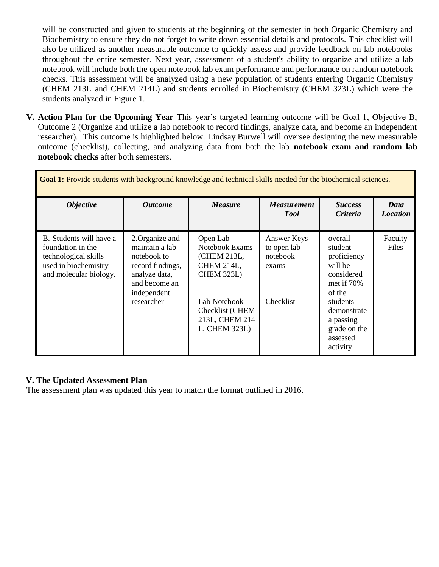will be constructed and given to students at the beginning of the semester in both Organic Chemistry and Biochemistry to ensure they do not forget to write down essential details and protocols. This checklist will also be utilized as another measurable outcome to quickly assess and provide feedback on lab notebooks throughout the entire semester. Next year, assessment of a student's ability to organize and utilize a lab notebook will include both the open notebook lab exam performance and performance on random notebook checks. This assessment will be analyzed using a new population of students entering Organic Chemistry (CHEM 213L and CHEM 214L) and students enrolled in Biochemistry (CHEM 323L) which were the students analyzed in Figure 1.

**V. Action Plan for the Upcoming Year** This year's targeted learning outcome will be Goal 1, Objective B, Outcome 2 (Organize and utilize a lab notebook to record findings, analyze data, and become an independent researcher). This outcome is highlighted below. Lindsay Burwell will oversee designing the new measurable outcome (checklist), collecting, and analyzing data from both the lab **notebook exam and random lab notebook checks** after both semesters.

| Goal 1: Provide students with background knowledge and technical skills needed for the biochemical sciences.           |                                                                                                                                     |                                                                                                                                                    |                                                              |                                                                                                                                                                      |                         |  |  |
|------------------------------------------------------------------------------------------------------------------------|-------------------------------------------------------------------------------------------------------------------------------------|----------------------------------------------------------------------------------------------------------------------------------------------------|--------------------------------------------------------------|----------------------------------------------------------------------------------------------------------------------------------------------------------------------|-------------------------|--|--|
| <i><b>Objective</b></i>                                                                                                | <b>Outcome</b>                                                                                                                      | <b>Measure</b>                                                                                                                                     | <b>Measurement</b><br><b>Tool</b>                            | <b>Success</b><br><i>Criteria</i>                                                                                                                                    | Data<br><b>Location</b> |  |  |
| B. Students will have a<br>foundation in the<br>technological skills<br>used in biochemistry<br>and molecular biology. | 2. Organize and<br>maintain a lab<br>notebook to<br>record findings,<br>analyze data,<br>and become an<br>independent<br>researcher | Open Lab<br>Notebook Exams<br>(CHEM 213L,<br>CHEM 214L,<br><b>CHEM 323L)</b><br>Lab Notebook<br>Checklist (CHEM<br>213L, CHEM 214<br>L, CHEM 323L) | Answer Keys<br>to open lab<br>notebook<br>exams<br>Checklist | overall<br>student<br>proficiency<br>will be<br>considered<br>met if $70%$<br>of the<br>students<br>demonstrate<br>a passing<br>grade on the<br>assessed<br>activity | Faculty<br>Files        |  |  |

# **V. The Updated Assessment Plan**

The assessment plan was updated this year to match the format outlined in 2016.